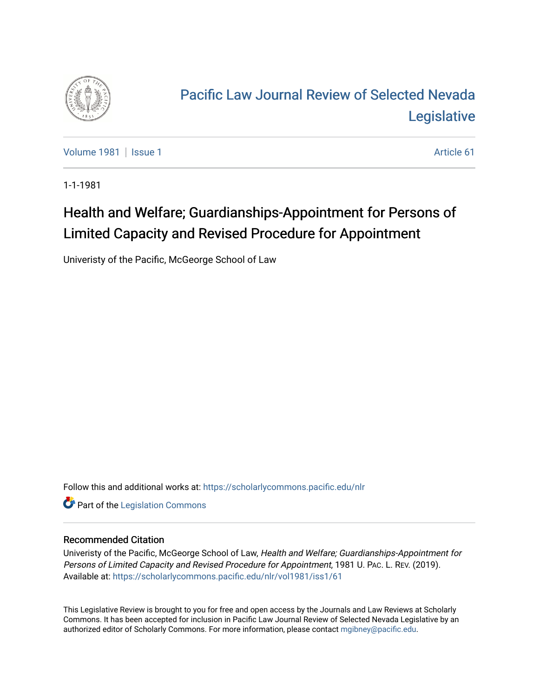

# [Pacific Law Journal Review of Selected Nevada](https://scholarlycommons.pacific.edu/nlr)  **Legislative**

[Volume 1981](https://scholarlycommons.pacific.edu/nlr/vol1981) | [Issue 1](https://scholarlycommons.pacific.edu/nlr/vol1981/iss1) Article 61

1-1-1981

# Health and Welfare; Guardianships-Appointment for Persons of Limited Capacity and Revised Procedure for Appointment

Univeristy of the Pacific, McGeorge School of Law

Follow this and additional works at: [https://scholarlycommons.pacific.edu/nlr](https://scholarlycommons.pacific.edu/nlr?utm_source=scholarlycommons.pacific.edu%2Fnlr%2Fvol1981%2Fiss1%2F61&utm_medium=PDF&utm_campaign=PDFCoverPages) 

**Part of the [Legislation Commons](http://network.bepress.com/hgg/discipline/859?utm_source=scholarlycommons.pacific.edu%2Fnlr%2Fvol1981%2Fiss1%2F61&utm_medium=PDF&utm_campaign=PDFCoverPages)** 

## Recommended Citation

Univeristy of the Pacific, McGeorge School of Law, Health and Welfare; Guardianships-Appointment for Persons of Limited Capacity and Revised Procedure for Appointment, 1981 U. PAC. L. REV. (2019). Available at: [https://scholarlycommons.pacific.edu/nlr/vol1981/iss1/61](https://scholarlycommons.pacific.edu/nlr/vol1981/iss1/61?utm_source=scholarlycommons.pacific.edu%2Fnlr%2Fvol1981%2Fiss1%2F61&utm_medium=PDF&utm_campaign=PDFCoverPages)

This Legislative Review is brought to you for free and open access by the Journals and Law Reviews at Scholarly Commons. It has been accepted for inclusion in Pacific Law Journal Review of Selected Nevada Legislative by an authorized editor of Scholarly Commons. For more information, please contact [mgibney@pacific.edu](mailto:mgibney@pacific.edu).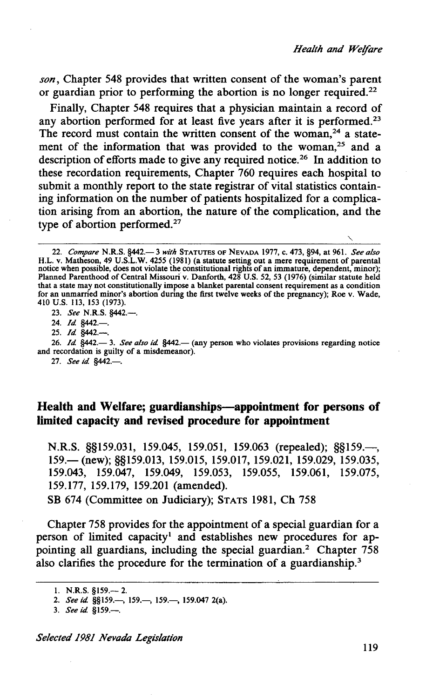*son,* Chapter 548 provides that written consent of the woman's parent or guardian prior to performing the abortion is no longer required.<sup>22</sup>

Finally, Chapter 548 requires that a physician maintain a record of any abortion performed for at least five years after it is performed.<sup>23</sup> The record must contain the written consent of the woman.<sup>24</sup> a statement of the information that was provided to the woman.<sup>25</sup> and a description of efforts made to give any required notice.26 In addition to these recordation requirements, Chapter 760 requires each hospital to submit a monthly report to the state registrar of vital statistics containing information on the number of patients hospitalized for a complication arising from an abortion, the nature *Qf* the complication, and the type of abortion performed.<sup>27</sup>

## Health and Welfare; guardianships—appointment for persons of **limited capacity and revised procedure for appointment**

N.R.S. §§159.031, 159.045, 159.051, 159.063 (repealed); §§159.—, 159. (new); §§159.013, 159.015, 159.017, 159.021, 159.029, 159.035, 159.043, 159.047, 159.049, 159.053, 159.055, 159.061, 159.075, 159.177, 159.179, 159.201 (amended).

SB 674 (Committee on Judiciary); STATS 1981, Ch 758

Chapter 758 provides for the appointment of a special guardian for a person of limited capacity<sup>1</sup> and establishes new procedures for appointing all guardians, including the special guardian.2 Chapter 758 also clarifies the procedure for the termination of a guardianship.<sup>3</sup>

*Selected 1981 Nevada Legislation* 

<sup>22.</sup> *Compare* N.R.S. §442.- 3 *with* STATUTES OF NEVADA 1977, c. 473, §94, at 961. *See also*  H.L. v. Matheson, 49 U.S.L.W. 4255 (1981) (a statute setting out a mere requirement of parental notice when possible, does not violate the constitutional rights of an immature, dependent, minor); Planned Parenthood of Central Missouri v. Danforth, 428 U.S. 52, 53 (1976) (similar statute held that a state may not constitutionally impose a blanket parental consent requirement as a condition for an unmarried minor's abortion during the first twelve weeks of the pregnancy); Roe v. Wade, 410 u.s. 113, 153 (1973).

<sup>23.</sup> *See* N.R.S. §442.-.

<sup>24.</sup> *Id.* §442.-

<sup>25.</sup> *Id* §442.-.

<sup>26.</sup> *Id.* §442.—3. *See also id.* §442.— (any person who violates provisions regarding notice and recordation is guilty of a misdemeanor).

<sup>27.</sup> *See id.* §442.-

<sup>1.</sup> N.R.S. §159.— 2.

<sup>2.</sup> *See id.* §§159.—, 159.—, 159.—, 159.047 2(a).

<sup>3.</sup> *See id* §159.-.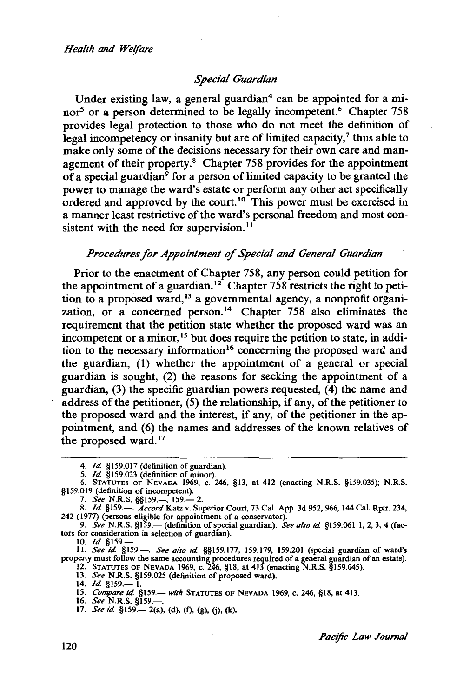### *Special Guardian*

Under existing law, a general guardian<sup>4</sup> can be appointed for a minor<sup>5</sup> or a person determined to be legally incompetent.<sup>6</sup> Chapter 758 provides legal protection to those who do not meet the definition of  $\frac{1}{2}$  legal incompetency or insanity but are of limited capacity,<sup>7</sup> thus able to make only some of the decisions necessary for their own care and management of their property.<sup>8</sup> Chapter 758 provides for the appointment of a special guardian9 for a person of limited capacity to be granted the power to manage the ward's estate or perform any other act specifically ordered and approved by the court.<sup>10</sup> This power must be exercised in a manner least restrictive of the ward's personal freedom and most consistent with the need for supervision.<sup>11</sup>

### *Procedures for Appointment of Special and General Guardian*

Prior to the enactment of Chapter 758, any person could petition for the appointment of a guardian.<sup>12</sup> Chapter 758 restricts the right to petition to a proposed ward, 13 a governmental agency, a nonprofit organization, or a concerned person.<sup>14</sup> Chapter 758 also eliminates the requirement that the petition state whether the proposed ward was an incompetent or a minor,<sup>15</sup> but does require the petition to state, in addition to the necessary information 16 concerning the proposed ward and the guardian, (1) whether the appointment of a general or special guardian is sought, (2) the reasons for seeking the appointment of a guardian, (3) the specific guardian powers requested, (4) the name and address of the petitioner, (5) the relationship, if any, of the petitioner to the proposed ward and the interest, if any, of the petitioner in the appointment, and (6) the names and addresses of the known relatives of the proposed ward.<sup>17</sup>

10. *Id.* §159.---.

II. *See id* §159.-. *See also id* §§159.177, 159.179, 159.201 (special guardian of ward's property must follow the same accounting procedures required of a general guardian of an estate).

12. STATUTES OF NEVADA 1969, c. 246, §18, at 413 (enacting N.R.S. §159.045). 13. *See* N.R.S. §159.025 (definition of proposed ward).

14. *Id.* §159.— l

16. *See* N.R.S. §159.-.

<sup>4.</sup> *Id* §159.017 (definition of guardian).

<sup>5.</sup> *Id* §159.023 (definition of minor). 6. STATUTES OF NEVADA 1969, c. 246, §13, at 412 (enacting N.R.S. §159.035); N.R.S. §159.019 (definition of incompetent).

<sup>7.</sup> *See* N.R.S. §§159.—, 159.— 2.

<sup>8.</sup> *Id* §159.-. *Accord* Katz v. Superior Court, 73 Cal. App. 3d 952, 966, 144 Cal. Rptr. 234, 242 (1977) (persons eligible for appointment of a conservator).

<sup>9.</sup> *See* N.R.S. §159.- (definition of special guardian). *See also id* §159.061 l, 2, 3, 4 (factors for consideration in selection of guardian).

<sup>15.</sup> *Compare id.* §159.- with STATUTES OF NEVADA 1969, c. 246, §18, at 413.

<sup>17.</sup> *See id.* §159.— 2(a), (d), (f), (g), (j), (k)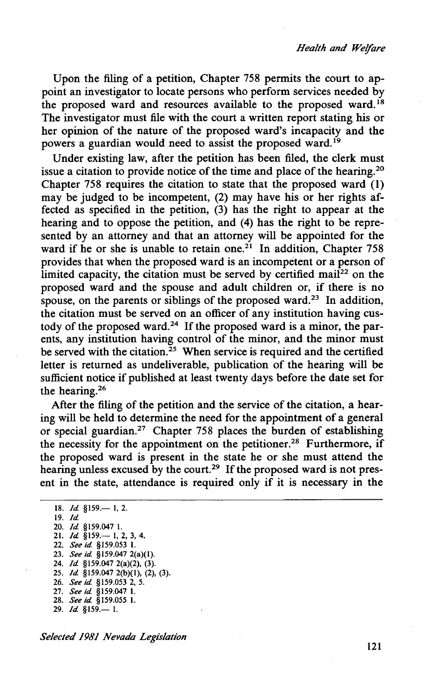Upon the filing of a petition, Chapter 758 permits the court to appoint an investigator to locate persons who perform services needed by the proposed ward and resources available to the proposed ward.<sup>18</sup> The investigator must file with the court a written report stating his or her opinion of the nature of the proposed ward's incapacity and the powers a guardian would need to assist the proposed ward.<sup>19</sup>

Under existing law, after the petition has been filed, the clerk must issue a citation to provide notice of the time and place of the hearing. 20 Chapter 758 requires the citation to state that the proposed ward (1) may be judged to be incompetent, (2) may have his or her rights affected as specified in the petition, (3) has the right to appear at the hearing and to oppose the petition, and (4) has the right to be represented by an attorney and that an attorney will be appointed for the ward if he or she is unable to retain one.<sup>21</sup> In addition, Chapter 758 provides that when the proposed ward is an incompetent or a person of limited capacity, the citation must be served by certified mail<sup>22</sup> on the proposed ward and the spouse and adult children or, if there is no spouse, on the parents or siblings of the proposed ward.<sup>23</sup> In addition, the citation must be served on an officer of any institution having custody of the proposed ward.<sup>24</sup> If the proposed ward is a minor, the parents, any institution having control of the minor, and the minor must be served with the citation.<sup>25</sup> When service is required and the certified letter is returned as undeliverable, publication of the hearing will be sufficient notice if published at least twenty days before the date set for the hearing. 26

After the filing of the petition and the service of the citation, a hearing will be held to determine the need for the appointment of a general or special guardian.<sup>27</sup> Chapter 758 places the burden of establishing the necessity for the appointment on the petitioner.<sup>28</sup> Furthermore, if the proposed ward is present in the state he or she must attend the hearing unless excused by the court.<sup>29</sup> If the proposed ward is not present in the state, attendance is required only if it is necessary in the

18. *Id* §159.-1, 2. 19. *ld*  20. *ld* §159.047 I. 21. */d* §159.- I, 2, 3, 4. 22. *See id* §159.053 I. 23. *See id* §159.047 2(a)(l). 24. *Id* §159.047 2(a)(2), (3). 25. *ld* §159.047 2(b)(l), (2), (3). 26. *See id* §159.053 2, 5. 27. *See id* §159.047 I. 28. *See id* §159.055 I. 29.  $Id$  §159.-1.

#### *Selected 1981 Nevada Legislation*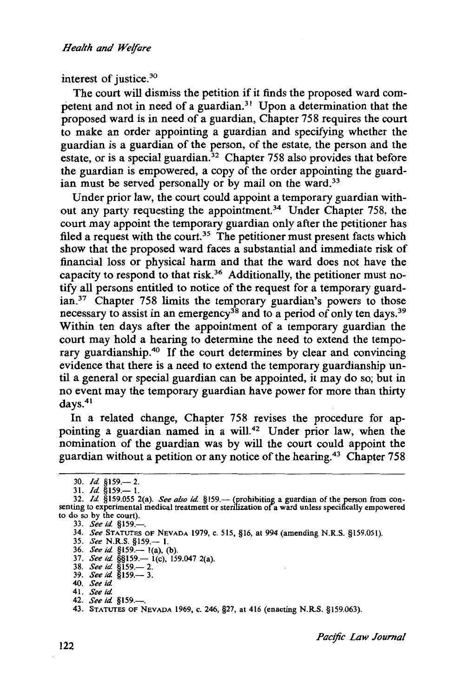interest of justice.30

The court will dismiss the petition if it finds the proposed ward competent and not in need of a guardian.<sup>31</sup> Upon a determination that the proposed ward is in need of a guardian, Chapter 758 requires the court to make an order appointing a guardian and specifying whether the guardian is a guardian of the person, of the estate, the person and the estate, or is a special guardian.<sup>32</sup> Chapter 758 also provides that before the guardian is empowered, a copy of the order appointing the guardian must be served personally or by mail on the ward.<sup>33</sup>

Under prior law, the court could appoint a temporary guardian without any party requesting the appointment.<sup>34</sup> Under Chapter 758, the court may appoint the temporary guardian only after the petitioner has filed a request with the court.<sup>35</sup> The petitioner must present facts which show that the proposed ward faces a substantial and immediate risk of financial loss or physical harm and that the ward does not have the capacity to respond to that risk.36 Additionally, the petitioner must notify all persons entitled to notice of the request for a temporary guardian.<sup>37</sup> Chapter 758 limits the temporary guardian's powers to those necessary to assist in an emergency<sup>38</sup> and to a period of only ten days.<sup>39</sup> Within ten days after the appointment of a temporary guardian the court may hold a hearing to determine the need to extend the temporary guardianship.<sup>40</sup> If the court determines by clear and convincing evidence that there is a need to extend the temporary guardianship until a general or special guardian can be appointed, it may do so; but in no event may the temporary guardian have power for more than thirty days.<sup>41</sup>

In a related change, Chapter 758 revises the procedure for appointing a guardian named in a will.<sup>42</sup> Under prior law, when the nomination of the guardian was by will the court could appoint the guardian without a petition or any notice of the hearing.43 Chapter 758

<sup>30.</sup> *Id.* §159.-2.

<sup>31.</sup> *Id.* §159.— 1.

<sup>32.</sup> *Id.* §159.055 2(a). *See also id.* §159.— (prohibiting a guardian of the person from consenting to experimental medical treatment or sterilization of a ward unless specifically empowered to do so by the court).

<sup>33.</sup> *See id.* §159.-

<sup>34.</sup> *See* STATUTES OF NEVADA 1979, c. 515, §16, at 994 (amending N.R.S. §159.051).

<sup>35.</sup> *See* N.R.S. §159.- l.

<sup>36.</sup> *See id.* §159.— 1(a), (b).

<sup>37.</sup> *See id.* §§159.— 1(c), 159.047 2(a).

<sup>38.</sup> *See id.* §159.— 2.<br>39. *See id.* §159.— 3.

<sup>40.</sup> *See id* 

<sup>41.</sup> *See it/.* 

<sup>42.</sup> *See id* §159.-.

<sup>43.</sup> STATUTES OF NEVADA 1969, c. 246, §27, at 416 (enacting N.R.S. §159.063).